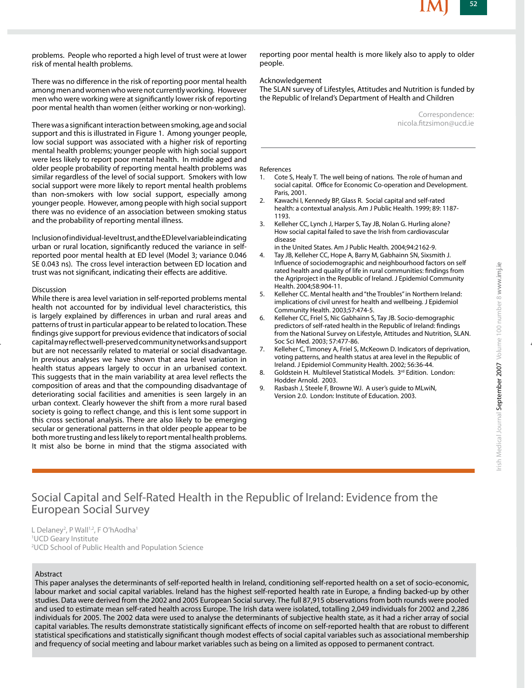problems. People who reported a high level of trust were at lower risk of mental health problems.

There was no difference in the risk of reporting poor mental health among men and women who were not currently working. However men who were working were at significantly lower risk of reporting poor mental health than women (either working or non-working).

There was a significant interaction between smoking, age and social support and this is illustrated in Figure 1. Among younger people, low social support was associated with a higher risk of reporting mental health problems; younger people with high social support were less likely to report poor mental health. In middle aged and older people probability of reporting mental health problems was similar regardless of the level of social support. Smokers with low social support were more likely to report mental health problems than non-smokers with low social support, especially among younger people. However, among people with high social support there was no evidence of an association between smoking status and the probability of reporting mental illness.

Inclusion of individual-level trust, and the ED level variable indicating urban or rural location, significantly reduced the variance in selfreported poor mental health at ED level (Model 3; variance 0.046 SE 0.043 ns). The cross level interaction between ED location and trust was not significant, indicating their effects are additive.

#### Discussion

While there is area level variation in self-reported problems mental health not accounted for by individual level characteristics, this is largely explained by differences in urban and rural areas and patterns of trust in particular appear to be related to location. These findings give support for previous evidence that indicators of social capital may reflect well-preserved community networks and support but are not necessarily related to material or social disadvantage. In previous analyses we have shown that area level variation in health status appears largely to occur in an urbanised context. This suggests that in the main variability at area level reflects the composition of areas and that the compounding disadvantage of deteriorating social facilities and amenities is seen largely in an urban context. Clearly however the shift from a more rural based society is going to reflect change, and this is lent some support in this cross sectional analysis. There are also likely to be emerging secular or generational patterns in that older people appear to be both more trusting and less likely to report mental health problems. It mist also be borne in mind that the stigma associated with reporting poor mental health is more likely also to apply to older people.

#### Acknowledgement

The SLAN survey of Lifestyles, Attitudes and Nutrition is funded by the Republic of Ireland's Department of Health and Children

> Correspondence: nicola.fitzsimon@ucd.ie

#### References

- 1. Cote S, Healy T. The well being of nations. The role of human and social capital. Office for Economic Co-operation and Development.
- Paris, 2001.<br>2. Kawachi I, K 2. Kawachi I, Kennedy BP, Glass R. Social capital and self-rated health: a contextual analysis. Am J Public Health. 1999; 89: 1187- 1193.
- 3. Kelleher CC, Lynch J, Harper S, Tay JB, Nolan G. Hurling alone? How social capital failed to save the Irish from cardiovascular disease
- in the United States. Am J Public Health. 2004;94:2162-9. 4. Tay JB, Kelleher CC, Hope A, Barry M, Gabhainn SN, Sixsmith J. Influence of sociodemographic and neighbourhood factors on self rated health and quality of life in rural communities: findings from the Agriproject in the Republic of Ireland. J Epidemiol Community Health. 2004;58:904-11.
- 5. Kelleher CC. Mental health and "the Troubles" in Northern Ireland: implications of civil unrest for health and wellbeing. J Epidemiol Community Health. 2003;57:474-5.
- 6. Kelleher CC, Friel S, Nic Gabhainn S, Tay JB. Socio-demographic predictors of self-rated health in the Republic of Ireland: findings from the National Survey on Lifestyle, Attitudes and Nutrition, SLAN. Soc Sci Med. 2003; 57:477-86.
- 7. Kelleher C, Timoney A, Friel S, McKeown D. Indicators of deprivation, voting patterns, and health status at area level in the Republic of Ireland. J Epidemiol Community Health. 2002; 56:36-44.
- 8. Goldstein H. Multilevel Statistical Models. 3rd Edition. London: Hodder Arnold. 2003.
- 9. Rasbash J, Steele F, Browne WJ. A user's guide to MLwiN, Version 2.0. London: Institute of Education. 2003.

## Social Capital and Self-Rated Health in the Republic of Ireland: Evidence from the European Social Survey

L Delaney<sup>2</sup>, P Wall<sup>1,2</sup>, F O'hAodha<sup>1</sup> <sup>1</sup>UCD Geary Institute <sup>2</sup>UCD School of Public Health and Population Science

## Abstract

This paper analyses the determinants of self-reported health in Ireland, conditioning self-reported health on a set of socio-economic, labour market and social capital variables. Ireland has the highest self-reported health rate in Europe, a finding backed-up by other studies. Data were derived from the 2002 and 2005 European Social survey. The full 87,915 observations from both rounds were pooled and used to estimate mean self-rated health across Europe. The Irish data were isolated, totalling 2,049 individuals for 2002 and 2,286 individuals for 2005. The 2002 data were used to analyse the determinants of subjective health state, as it had a richer array of social capital variables. The results demonstrate statistically significant effects of income on self-reported health that are robust to different statistical specifications and statistically significant though modest effects of social capital variables such as associational membership and frequency of social meeting and labour market variables such as being on a limited as opposed to permanent contract.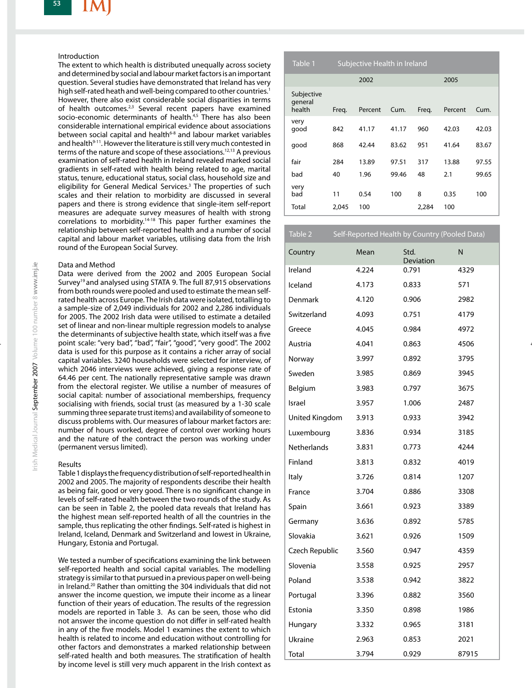#### Introduction

The extent to which health is distributed unequally across society and determined by social and labour market factors is an important question. Several studies have demonstrated that Ireland has very high self-rated heath and well-being compared to other countries.<sup>1</sup> However, there also exist considerable social disparities in terms of health outcomes.<sup>2,3</sup> Several recent papers have examined socio-economic determinants of health.<sup>4,5</sup> There has also been considerable international empirical evidence about associations between social capital and health<sup>6-8</sup> and labour market variables and health<sup>9-11</sup>. However the literature is still very much contested in terms of the nature and scope of these associations.<sup>12,13</sup> A previous examination of self-rated health in Ireland revealed marked social gradients in self-rated with health being related to age, marital status, tenure, educational status, social class, household size and eligibility for General Medical Services.<sup>3</sup> The properties of such scales and their relation to morbidity are discussed in several papers and there is strong evidence that single-item self-report measures are adequate survey measures of health with strong correlations to morbidity.<sup>14-18</sup> This paper further examines the relationship between self-reported health and a number of social capital and labour market variables, utilising data from the Irish round of the European Social Survey.

## Data and Method

Data were derived from the 2002 and 2005 European Social Survey<sup>19</sup> and analysed using STATA 9. The full 87,915 observations from both rounds were pooled and used to estimate the mean selfrated health across Europe. The Irish data were isolated, totalling to a sample-size of 2,049 individuals for 2002 and 2,286 individuals for 2005. The 2002 Irish data were utilised to estimate a detailed set of linear and non-linear multiple regression models to analyse the determinants of subjective health state, which itself was a five point scale: "very bad", "bad", "fair", "good", "very good". The 2002 data is used for this purpose as it contains a richer array of social capital variables. 3240 households were selected for interview, of which 2046 interviews were achieved, giving a response rate of 64.46 per cent. The nationally representative sample was drawn from the electoral register. We utilise a number of measures of social capital: number of associational memberships, frequency socialising with friends, social trust (as measured by a 1-30 scale summing three separate trust items) and availability of someone to discuss problems with. Our measures of labour market factors are: number of hours worked, degree of control over working hours and the nature of the contract the person was working under (permanent versus limited).

## Results

Table 1 displays the frequency distribution of self-reported health in 2002 and 2005. The majority of respondents describe their health as being fair, good or very good. There is no significant change in levels of self-rated health between the two rounds of the study. As can be seen in Table 2, the pooled data reveals that Ireland has the highest mean self-reported health of all the countries in the sample, thus replicating the other findings. Self-rated is highest in Ireland, Iceland, Denmark and Switzerland and lowest in Ukraine, Hungary, Estonia and Portugal.

We tested a number of specifications examining the link between self-reported health and social capital variables. The modelling strategy is similar to that pursued in a previous paper on well-being in Ireland.<sup>20</sup> Rather than omitting the 304 individuals that did not answer the income question, we impute their income as a linear function of their years of education. The results of the regression models are reported in Table 3. As can be seen, those who did not answer the income question do not differ in self-rated health in any of the five models. Model 1 examines the extent to which health is related to income and education without controlling for other factors and demonstrates a marked relationship between self-rated health and both measures. The stratification of health by income level is still very much apparent in the Irish context as

| Table 1                         | Subjective Health in Ireland |         |       |       |         |       |
|---------------------------------|------------------------------|---------|-------|-------|---------|-------|
|                                 |                              | 2002    |       |       | 2005    |       |
| Subjective<br>general<br>health | Freq.                        | Percent | Cum.  | Freq. | Percent | Cum.  |
| very<br>qood                    | 842                          | 41.17   | 41.17 | 960   | 42.03   | 42.03 |
| good                            | 868                          | 42.44   | 83.62 | 951   | 41.64   | 83.67 |
| fair                            | 284                          | 13.89   | 97.51 | 317   | 13.88   | 97.55 |
| bad                             | 40                           | 1.96    | 99.46 | 48    | 2.1     | 99.65 |
| very<br>bad                     | 11                           | 0.54    | 100   | 8     | 0.35    | 100   |
| Total                           | 2,045                        | 100     |       | 2,284 | 100     |       |

| Table 2            |       | Self-Reported Health by Country (Pooled Data) |       |
|--------------------|-------|-----------------------------------------------|-------|
| Country            | Mean  | Std.<br>Deviation                             | N     |
| Ireland            | 4.224 | 0.791                                         | 4329  |
| Iceland            | 4.173 | 0.833                                         | 571   |
| Denmark            | 4.120 | 0.906                                         | 2982  |
| Switzerland        | 4.093 | 0.751                                         | 4179  |
| Greece             | 4.045 | 0.984                                         | 4972  |
| Austria            | 4.041 | 0.863                                         | 4506  |
| Norway             | 3.997 | 0.892                                         | 3795  |
| Sweden             | 3.985 | 0.869                                         | 3945  |
| Belgium            | 3.983 | 0.797                                         | 3675  |
| Israel             | 3.957 | 1.006                                         | 2487  |
| United Kingdom     | 3.913 | 0.933                                         | 3942  |
| Luxembourg         | 3.836 | 0.934                                         | 3185  |
| <b>Netherlands</b> | 3.831 | 0.773                                         | 4244  |
| Finland            | 3.813 | 0.832                                         | 4019  |
| Italy              | 3.726 | 0.814                                         | 1207  |
| France             | 3.704 | 0.886                                         | 3308  |
| Spain              | 3.661 | 0.923                                         | 3389  |
| Germany            | 3.636 | 0.892                                         | 5785  |
| Slovakia           | 3.621 | 0.926                                         | 1509  |
| Czech Republic     | 3.560 | 0.947                                         | 4359  |
| Slovenia           | 3.558 | 0.925                                         | 2957  |
| Poland             | 3.538 | 0.942                                         | 3822  |
| Portugal           | 3.396 | 0.882                                         | 3560  |
| Estonia            | 3.350 | 0.898                                         | 1986  |
| Hungary            | 3.332 | 0.965                                         | 3181  |
| Ukraine            | 2.963 | 0.853                                         | 2021  |
| Total              | 3.794 | 0.929                                         | 87915 |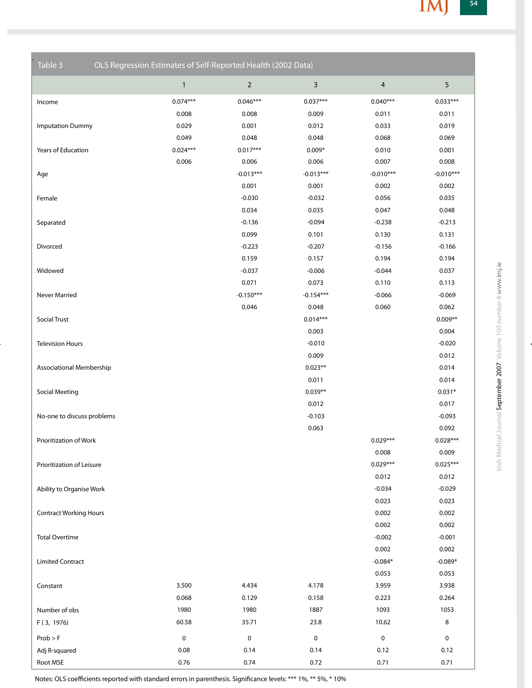| Table 3                         | OLS Regression Estimates of Self-Reported Health (2002 Data) |                |                         |                |             |
|---------------------------------|--------------------------------------------------------------|----------------|-------------------------|----------------|-------------|
|                                 | $\mathbf{1}$                                                 | $\overline{2}$ | $\overline{\mathbf{3}}$ | $\overline{4}$ | $\sqrt{5}$  |
| Income                          | $0.074***$                                                   | $0.046***$     | $0.037***$              | $0.040***$     | $0.033***$  |
|                                 | 0.008                                                        | 0.008          | 0.009                   | 0.011          | 0.011       |
| <b>Imputation Dummy</b>         | 0.029                                                        | 0.001          | 0.012                   | 0.033          | 0.019       |
|                                 | 0.049                                                        | 0.048          | 0.048                   | 0.068          | 0.069       |
| Years of Education              | $0.024***$                                                   | $0.017***$     | $0.009*$                | 0.010          | 0.001       |
|                                 | 0.006                                                        | 0.006          | 0.006                   | 0.007          | 0.008       |
| Age                             |                                                              | $-0.013***$    | $-0.013***$             | $-0.010***$    | $-0.010***$ |
|                                 |                                                              | 0.001          | 0.001                   | 0.002          | 0.002       |
| Female                          |                                                              | $-0.030$       | $-0.032$                | 0.056          | 0.035       |
|                                 |                                                              | 0.034          | 0.035                   | 0.047          | 0.048       |
| Separated                       |                                                              | $-0.136$       | $-0.094$                | $-0.238$       | $-0.213$    |
|                                 |                                                              | 0.099          | 0.101                   | 0.130          | 0.131       |
| Divorced                        |                                                              | $-0.223$       | $-0.207$                | $-0.156$       | $-0.166$    |
|                                 |                                                              | 0.159          | 0.157                   | 0.194          | 0.194       |
| Widowed                         |                                                              | $-0.037$       | $-0.006$                | $-0.044$       | 0.037       |
|                                 |                                                              | 0.071          | 0.073                   | 0.110          | 0.113       |
| Never Married                   |                                                              | $-0.150***$    | $-0.154***$             | $-0.066$       | $-0.069$    |
|                                 |                                                              | 0.046          | 0.048                   | 0.060          | 0.062       |
| <b>Social Trust</b>             |                                                              |                | $0.014***$              |                | $0.009**$   |
|                                 |                                                              |                | 0.003                   |                | 0.004       |
| <b>Television Hours</b>         |                                                              |                | $-0.010$                |                | $-0.020$    |
|                                 |                                                              |                | 0.009                   |                | 0.012       |
| <b>Associational Membership</b> |                                                              |                | $0.023**$               |                | 0.014       |
|                                 |                                                              |                | 0.011                   |                | 0.014       |
| Social Meeting                  |                                                              |                | $0.039**$               |                | $0.031*$    |
|                                 |                                                              |                | 0.012                   |                | 0.017       |
| No-one to discuss problems      |                                                              |                | $-0.103$                |                | $-0.093$    |
|                                 |                                                              |                | 0.063                   |                | 0.092       |
| Prioritization of Work          |                                                              |                |                         | $0.029***$     | $0.028***$  |
|                                 |                                                              |                |                         | 0.008          | 0.009       |
| Prioritization of Leisure       |                                                              |                |                         | $0.029***$     | $0.025***$  |
|                                 |                                                              |                |                         | 0.012          | 0.012       |
| Ability to Organise Work        |                                                              |                |                         | $-0.034$       | $-0.029$    |
|                                 |                                                              |                |                         | 0.023          | 0.023       |
| <b>Contract Working Hours</b>   |                                                              |                |                         | 0.002          | 0.002       |
|                                 |                                                              |                |                         | 0.002          | 0.002       |
| <b>Total Overtime</b>           |                                                              |                |                         | $-0.002$       | $-0.001$    |
|                                 |                                                              |                |                         | 0.002          | 0.002       |
| <b>Limited Contract</b>         |                                                              |                |                         | $-0.084*$      | $-0.089*$   |
|                                 |                                                              |                |                         | 0.053          | 0.053       |
| Constant                        | 3.500                                                        | 4.434          | 4.178                   | 3.959          | 3.938       |
|                                 | 0.068                                                        | 0.129          | 0.158                   | 0.223          | 0.264       |
| Number of obs                   | 1980                                                         | 1980           | 1887                    | 1093           | 1053        |
| F (3, 1976)                     | 60.58                                                        | 35.71          | 23.8                    | 10.62          | $\bf 8$     |
| $Prob$ > F                      | $\pmb{0}$                                                    | $\mathbf 0$    | 0                       | $\pmb{0}$      | $\mathsf 0$ |
| Adj R-squared                   | 0.08                                                         | 0.14           | 0.14                    | 0.12           | 0.12        |
| Root MSE                        | 0.76                                                         | 0.74           | 0.72                    | 0.71           | 0.71        |

Notes: OLS coefficients reported with standard errors in parenthesis. Significance levels: \*\*\* 1%, \*\* 5%, \* 10%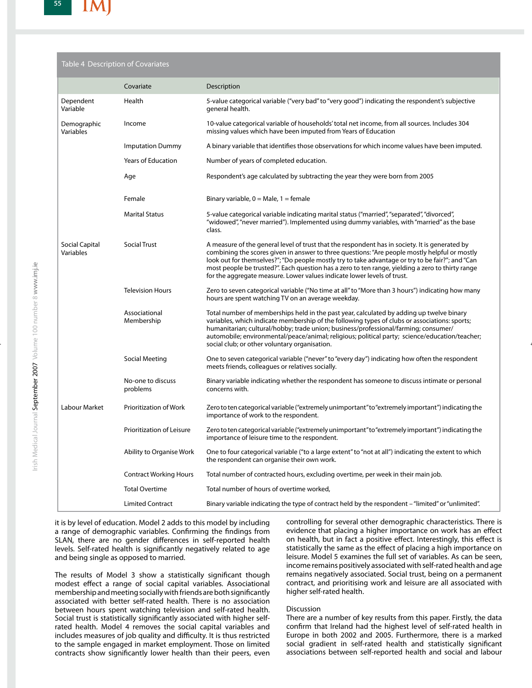## Table 4 Description of Covariates

|                             | Covariate                     | Description                                                                                                                                                                                                                                                                                                                                                                                                                                                                        |
|-----------------------------|-------------------------------|------------------------------------------------------------------------------------------------------------------------------------------------------------------------------------------------------------------------------------------------------------------------------------------------------------------------------------------------------------------------------------------------------------------------------------------------------------------------------------|
| Dependent<br>Variable       | Health                        | 5-value categorical variable ("very bad" to "very good") indicating the respondent's subjective<br>general health.                                                                                                                                                                                                                                                                                                                                                                 |
| Demographic<br>Variables    | Income                        | 10-value categorical variable of households' total net income, from all sources. Includes 304<br>missing values which have been imputed from Years of Education                                                                                                                                                                                                                                                                                                                    |
|                             | <b>Imputation Dummy</b>       | A binary variable that identifies those observations for which income values have been imputed.                                                                                                                                                                                                                                                                                                                                                                                    |
|                             | <b>Years of Education</b>     | Number of years of completed education.                                                                                                                                                                                                                                                                                                                                                                                                                                            |
|                             | Age                           | Respondent's age calculated by subtracting the year they were born from 2005                                                                                                                                                                                                                                                                                                                                                                                                       |
|                             | Female                        | Binary variable, $0 =$ Male, $1 =$ female                                                                                                                                                                                                                                                                                                                                                                                                                                          |
|                             | <b>Marital Status</b>         | 5-value categorical variable indicating marital status ("married", "separated", "divorced",<br>"widowed", "never married"). Implemented using dummy variables, with "married" as the base<br>class.                                                                                                                                                                                                                                                                                |
| Social Capital<br>Variables | <b>Social Trust</b>           | A measure of the general level of trust that the respondent has in society. It is generated by<br>combining the scores given in answer to three questions: "Are people mostly helpful or mostly<br>look out for themselves?"; "Do people mostly try to take advantage or try to be fair?"; and "Can<br>most people be trusted?". Each question has a zero to ten range, yielding a zero to thirty range<br>for the aggregate measure. Lower values indicate lower levels of trust. |
|                             | <b>Television Hours</b>       | Zero to seven categorical variable ("No time at all" to "More than 3 hours") indicating how many<br>hours are spent watching TV on an average weekday.                                                                                                                                                                                                                                                                                                                             |
|                             | Associational<br>Membership   | Total number of memberships held in the past year, calculated by adding up twelve binary<br>variables, which indicate membership of the following types of clubs or associations: sports;<br>humanitarian; cultural/hobby; trade union; business/professional/farming; consumer/<br>automobile; environmental/peace/animal; religious; political party; science/education/teacher;<br>social club; or other voluntary organisation.                                                |
|                             | Social Meeting                | One to seven categorical variable ("never" to "every day") indicating how often the respondent<br>meets friends, colleagues or relatives socially.                                                                                                                                                                                                                                                                                                                                 |
|                             | No-one to discuss<br>problems | Binary variable indicating whether the respondent has someone to discuss intimate or personal<br>concerns with.                                                                                                                                                                                                                                                                                                                                                                    |
| Labour Market               | Prioritization of Work        | Zero to ten categorical variable ("extremely unimportant" to "extremely important") indicating the<br>importance of work to the respondent.                                                                                                                                                                                                                                                                                                                                        |
|                             | Prioritization of Leisure     | Zero to ten categorical variable ("extremely unimportant" to "extremely important") indicating the<br>importance of leisure time to the respondent.                                                                                                                                                                                                                                                                                                                                |
|                             | Ability to Organise Work      | One to four categorical variable ("to a large extent" to "not at all") indicating the extent to which<br>the respondent can organise their own work.                                                                                                                                                                                                                                                                                                                               |
|                             | <b>Contract Working Hours</b> | Total number of contracted hours, excluding overtime, per week in their main job.                                                                                                                                                                                                                                                                                                                                                                                                  |
|                             | <b>Total Overtime</b>         | Total number of hours of overtime worked,                                                                                                                                                                                                                                                                                                                                                                                                                                          |
|                             | <b>Limited Contract</b>       | Binary variable indicating the type of contract held by the respondent - "limited" or "unlimited".                                                                                                                                                                                                                                                                                                                                                                                 |

it is by level of education. Model 2 adds to this model by including a range of demographic variables. Confirming the findings from SLAN, there are no gender differences in self-reported health levels. Self-rated health is significantly negatively related to age and being single as opposed to married.

The results of Model 3 show a statistically significant though modest effect a range of social capital variables. Associational membership and meeting socially with friends are both significantly associated with better self-rated health. There is no association between hours spent watching television and self-rated health. Social trust is statistically significantly associated with higher selfrated health. Model 4 removes the social capital variables and includes measures of job quality and difficulty. It is thus restricted to the sample engaged in market employment. Those on limited contracts show significantly lower health than their peers, even controlling for several other demographic characteristics. There is evidence that placing a higher importance on work has an effect on health, but in fact a positive effect. Interestingly, this effect is statistically the same as the effect of placing a high importance on leisure. Model 5 examines the full set of variables. As can be seen, income remains positively associated with self-rated health and age remains negatively associated. Social trust, being on a permanent contract, and prioritising work and leisure are all associated with higher self-rated health.

#### Discussion

There are a number of key results from this paper. Firstly, the data confirm that Ireland had the highest level of self-rated health in Europe in both 2002 and 2005. Furthermore, there is a marked social gradient in self-rated health and statistically significant associations between self-reported health and social and labour